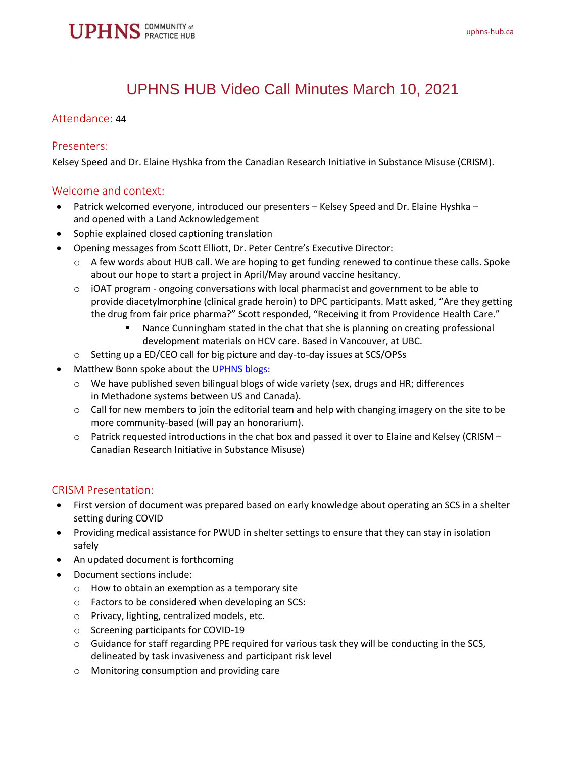

# UPHNS HUB Video Call Minutes March 10, 2021

#### Attendance: 44

#### Presenters:

Kelsey Speed and Dr. Elaine Hyshka from the Canadian Research Initiative in Substance Misuse (CRISM).

#### Welcome and context:

- Patrick welcomed everyone, introduced our presenters Kelsey Speed and Dr. Elaine Hyshka and opened with a Land Acknowledgement
- Sophie explained closed captioning translation
- Opening messages from Scott Elliott, Dr. Peter Centre's Executive Director:
	- $\circ$  A few words about HUB call. We are hoping to get funding renewed to continue these calls. Spoke about our hope to start a project in April/May around vaccine hesitancy.
	- $\circ$  iOAT program ongoing conversations with local pharmacist and government to be able to provide diacetylmorphine (clinical grade heroin) to DPC participants. Matt asked, "Are they getting the drug from fair price pharma?" Scott responded, "Receiving it from Providence Health Care."
		- Nance Cunningham stated in the chat that she is planning on creating professional development materials on HCV care. Based in Vancouver, at UBC.
	- o Setting up a ED/CEO call for big picture and day-to-day issues at SCS/OPSs
- Matthew Bonn spoke about the [UPHNS blogs:](https://uphns-hub.ca/community-blog/)
	- o We have published seven bilingual blogs of wide variety (sex, drugs and HR; differences in Methadone systems between US and Canada).
	- $\circ$  Call for new members to join the editorial team and help with changing imagery on the site to be more community-based (will pay an honorarium).
	- $\circ$  Patrick requested introductions in the chat box and passed it over to Elaine and Kelsey (CRISM Canadian Research Initiative in Substance Misuse)

#### CRISM Presentation:

- First version of document was prepared based on early knowledge about operating an SCS in a shelter setting during COVID
- Providing medical assistance for PWUD in shelter settings to ensure that they can stay in isolation safely
- An updated document is forthcoming
- Document sections include:
	- o How to obtain an exemption as a temporary site
	- o Factors to be considered when developing an SCS:
	- o Privacy, lighting, centralized models, etc.
	- o Screening participants for COVID-19
	- $\circ$  Guidance for staff regarding PPE required for various task they will be conducting in the SCS, delineated by task invasiveness and participant risk level
	- o Monitoring consumption and providing care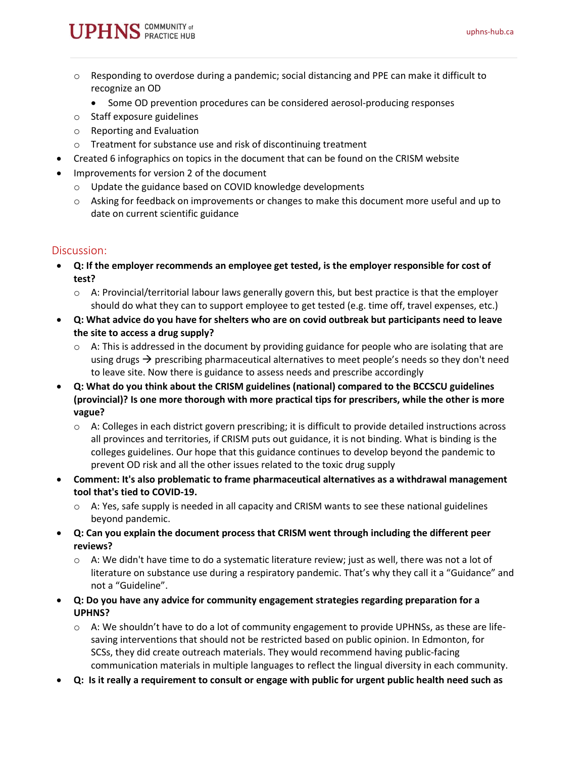- $\circ$  Responding to overdose during a pandemic; social distancing and PPE can make it difficult to recognize an OD
	- Some OD prevention procedures can be considered aerosol-producing responses
- o Staff exposure guidelines
- o Reporting and Evaluation
- o Treatment for substance use and risk of discontinuing treatment
- Created 6 infographics on topics in the document that can be found on the CRISM website
- Improvements for version 2 of the document
	- o Update the guidance based on COVID knowledge developments
	- $\circ$  Asking for feedback on improvements or changes to make this document more useful and up to date on current scientific guidance

#### Discussion:

- **Q: If the employer recommends an employee get tested, is the employer responsible for cost of test?**
	- $\circ$  A: Provincial/territorial labour laws generally govern this, but best practice is that the employer should do what they can to support employee to get tested (e.g. time off, travel expenses, etc.)
- **Q: What advice do you have for shelters who are on covid outbreak but participants need to leave the site to access a drug supply?**
	- $\circ$  A: This is addressed in the document by providing guidance for people who are isolating that are using drugs  $\rightarrow$  prescribing pharmaceutical alternatives to meet people's needs so they don't need to leave site. Now there is guidance to assess needs and prescribe accordingly
- **Q: What do you think about the CRISM guidelines (national) compared to the BCCSCU guidelines (provincial)? Is one more thorough with more practical tips for prescribers, while the other is more vague?**
	- $\circ$  A: Colleges in each district govern prescribing; it is difficult to provide detailed instructions across all provinces and territories, if CRISM puts out guidance, it is not binding. What is binding is the colleges guidelines. Our hope that this guidance continues to develop beyond the pandemic to prevent OD risk and all the other issues related to the toxic drug supply
- **Comment: It's also problematic to frame pharmaceutical alternatives as a withdrawal management tool that's tied to COVID-19.**
	- $\circ$  A: Yes, safe supply is needed in all capacity and CRISM wants to see these national guidelines beyond pandemic.
- **Q: Can you explain the document process that CRISM went through including the different peer reviews?**
	- $\circ$  A: We didn't have time to do a systematic literature review; just as well, there was not a lot of literature on substance use during a respiratory pandemic. That's why they call it a "Guidance" and not a "Guideline".
- **Q: Do you have any advice for community engagement strategies regarding preparation for a UPHNS?**
	- $\circ$  A: We shouldn't have to do a lot of community engagement to provide UPHNSs, as these are lifesaving interventions that should not be restricted based on public opinion. In Edmonton, for SCSs, they did create outreach materials. They would recommend having public-facing communication materials in multiple languages to reflect the lingual diversity in each community.
- **Q: Is it really a requirement to consult or engage with public for urgent public health need such as**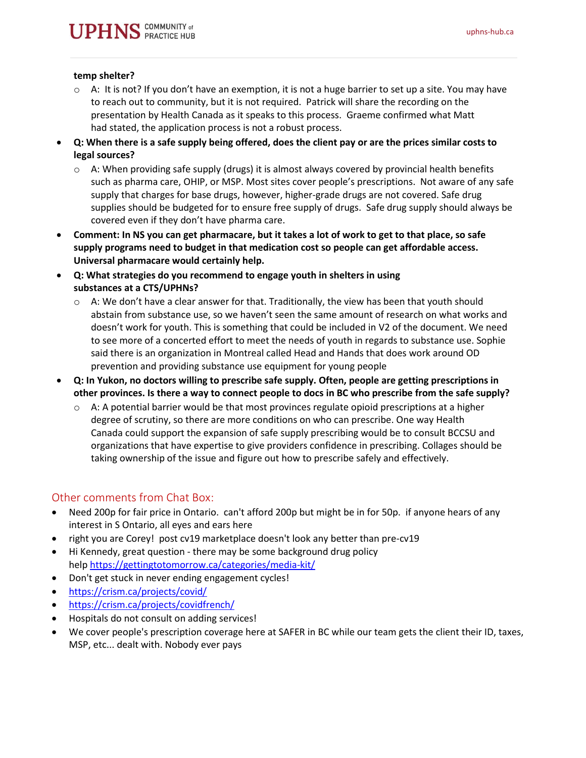#### **temp shelter?**

- $\circ$  A: It is not? If you don't have an exemption, it is not a huge barrier to set up a site. You may have to reach out to community, but it is not required. Patrick will share the recording on the presentation by Health Canada as it speaks to this process. Graeme confirmed what Matt had stated, the application process is not a robust process.
- **Q: When there is a safe supply being offered, does the client pay or are the prices similar costs to legal sources?**
	- $\circ$  A: When providing safe supply (drugs) it is almost always covered by provincial health benefits such as pharma care, OHIP, or MSP. Most sites cover people's prescriptions. Not aware of any safe supply that charges for base drugs, however, higher-grade drugs are not covered. Safe drug supplies should be budgeted for to ensure free supply of drugs. Safe drug supply should always be covered even if they don't have pharma care.
- **Comment: In NS you can get pharmacare, but it takes a lot of work to get to that place, so safe supply programs need to budget in that medication cost so people can get affordable access. Universal pharmacare would certainly help.**
- **Q: What strategies do you recommend to engage youth in shelters in using substances at a CTS/UPHNs?**
	- $\circ$  A: We don't have a clear answer for that. Traditionally, the view has been that youth should abstain from substance use, so we haven't seen the same amount of research on what works and doesn't work for youth. This is something that could be included in V2 of the document. We need to see more of a concerted effort to meet the needs of youth in regards to substance use. Sophie said there is an organization in Montreal called Head and Hands that does work around OD prevention and providing substance use equipment for young people
- **Q: In Yukon, no doctors willing to prescribe safe supply. Often, people are getting prescriptions in other provinces. Is there a way to connect people to docs in BC who prescribe from the safe supply?**
	- $\circ$  A: A potential barrier would be that most provinces regulate opioid prescriptions at a higher degree of scrutiny, so there are more conditions on who can prescribe. One way Health Canada could support the expansion of safe supply prescribing would be to consult BCCSU and organizations that have expertise to give providers confidence in prescribing. Collages should be taking ownership of the issue and figure out how to prescribe safely and effectively.

### Other comments from Chat Box:

- Need 200p for fair price in Ontario. can't afford 200p but might be in for 50p. if anyone hears of any interest in S Ontario, all eyes and ears here
- right you are Corey! post cv19 marketplace doesn't look any better than pre-cv19
- Hi Kennedy, great question there may be some background drug policy help <https://gettingtotomorrow.ca/categories/media-kit/>
- Don't get stuck in never ending engagement cycles!
- <https://crism.ca/projects/covid/>
- <https://crism.ca/projects/covidfrench/>
- Hospitals do not consult on adding services!
- We cover people's prescription coverage here at SAFER in BC while our team gets the client their ID, taxes, MSP, etc... dealt with. Nobody ever pays